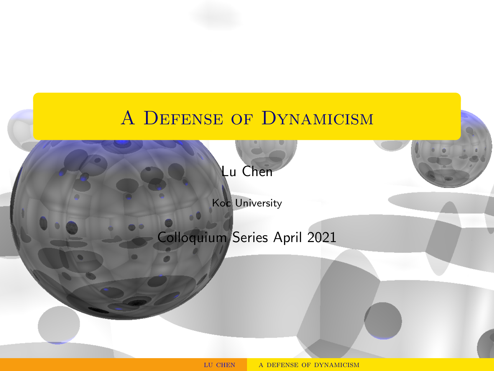# <span id="page-0-0"></span>A DEFENSE OF DYNAMICISM

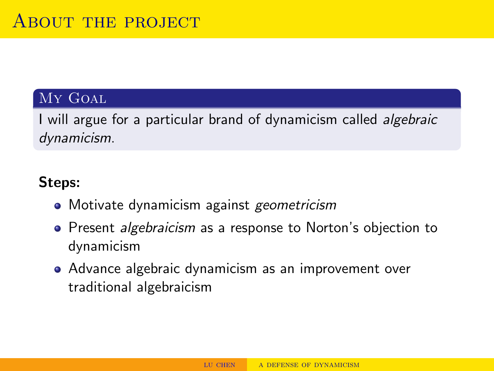# My Goal

I will argue for a particular brand of dynamicism called *algebraic* dynamicism.

# Steps:

- Motivate dynamicism against geometricism
- Present *algebraicism* as a response to Norton's objection to dynamicism
- Advance algebraic dynamicism as an improvement over traditional algebraicism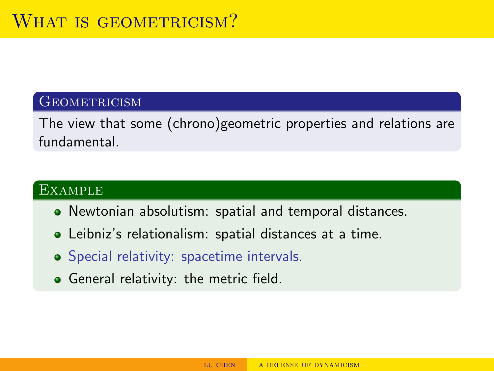### **GEOMETRICISM**

The view that some (chrono)geometric properties and relations are fundamental.

#### **EXAMPLE**

- Newtonian absolutism: spatial and temporal distances.
- Leibniz's relationalism: spatial distances at a time.
- **•** Special relativity: spacetime intervals.
- **•** General relativity: the metric field.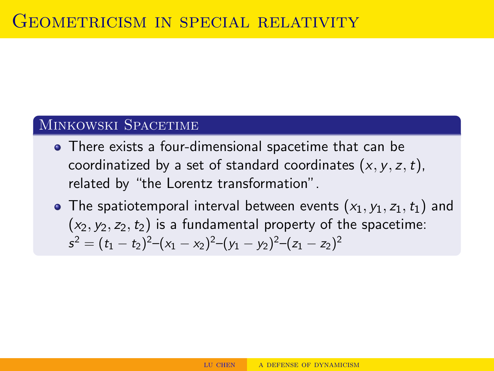### Minkowski Spacetime

- There exists a four-dimensional spacetime that can be coordinatized by a set of standard coordinates  $(x, y, z, t)$ , related by "the Lorentz transformation".
- The spatiotemporal interval between events  $(x_1, y_1, z_1, t_1)$  and  $(x_2, y_2, z_2, t_2)$  is a fundamental property of the spacetime:  $s^2 = (t_1 - t_2)^2 - (x_1 - x_2)^2 - (y_1 - y_2)^2 - (z_1 - z_2)^2$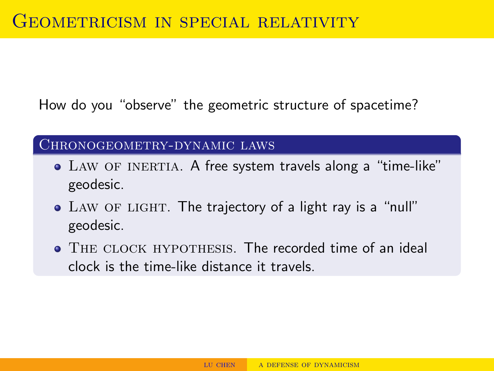How do you "observe" the geometric structure of spacetime?

Chronogeometry-dynamic laws

- LAW OF INERTIA. A free system travels along a "time-like" geodesic.
- LAW OF LIGHT. The trajectory of a light ray is a "null" geodesic.
- THE CLOCK HYPOTHESIS. The recorded time of an ideal clock is the time-like distance it travels.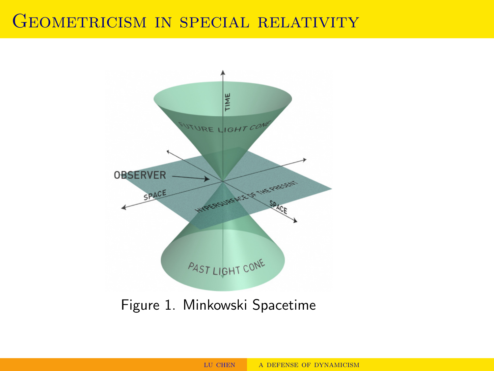# GEOMETRICISM IN SPECIAL RELATIVITY

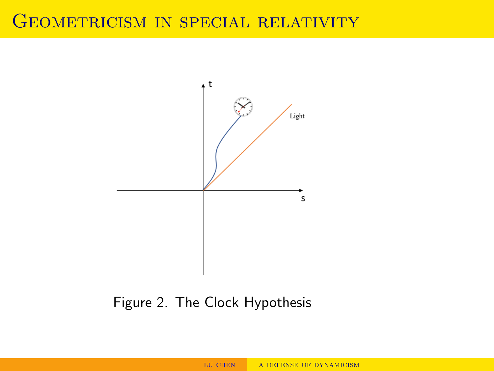# GEOMETRICISM IN SPECIAL RELATIVITY



# Figure 2. The Clock Hypothesis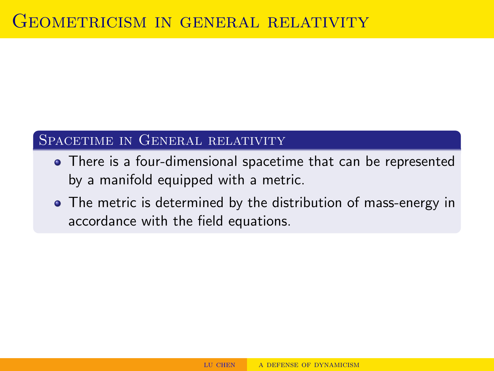## SPACETIME IN GENERAL RELATIVITY

- There is a four-dimensional spacetime that can be represented by a manifold equipped with a metric.
- The metric is determined by the distribution of mass-energy in accordance with the field equations.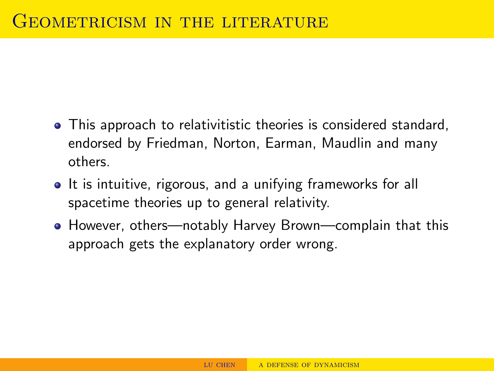- This approach to relativitistic theories is considered standard, endorsed by Friedman, Norton, Earman, Maudlin and many others.
- It is intuitive, rigorous, and a unifying frameworks for all spacetime theories up to general relativity.
- However, others—notably Harvey Brown—complain that this approach gets the explanatory order wrong.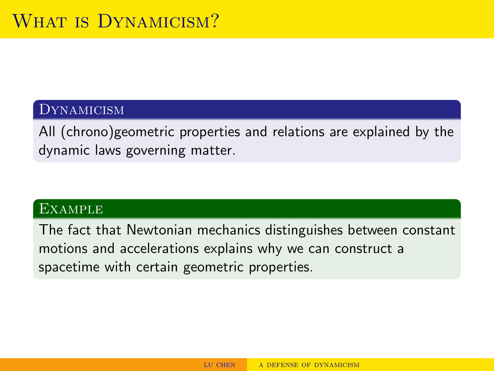#### Dynamicism

All (chrono)geometric properties and relations are explained by the dynamic laws governing matter.

#### **EXAMPLE**

The fact that Newtonian mechanics distinguishes between constant motions and accelerations explains why we can construct a spacetime with certain geometric properties.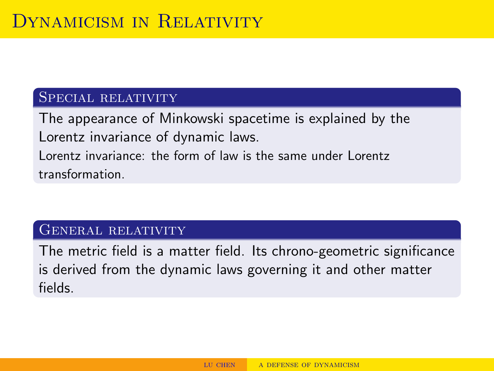#### Special relativity

The appearance of Minkowski spacetime is explained by the Lorentz invariance of dynamic laws. Lorentz invariance: the form of law is the same under Lorentz transformation.

#### GENERAL RELATIVITY

The metric field is a matter field. Its chrono-geometric significance is derived from the dynamic laws governing it and other matter fields.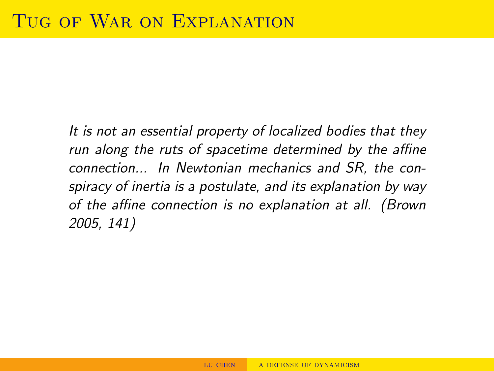It is not an essential property of localized bodies that they run along the ruts of spacetime determined by the affine connection... In Newtonian mechanics and SR, the conspiracy of inertia is a postulate, and its explanation by way of the affine connection is no explanation at all. (Brown 2005, 141)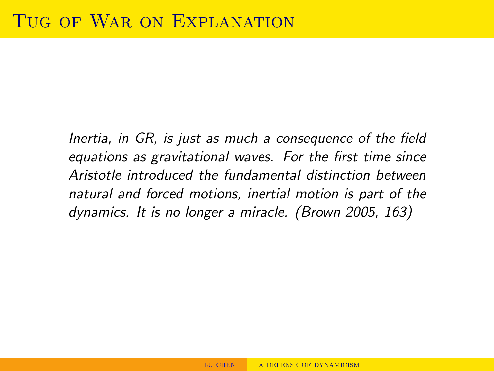Inertia, in GR, is just as much a consequence of the field equations as gravitational waves. For the first time since Aristotle introduced the fundamental distinction between natural and forced motions, inertial motion is part of the dynamics. It is no longer a miracle. (Brown 2005, 163)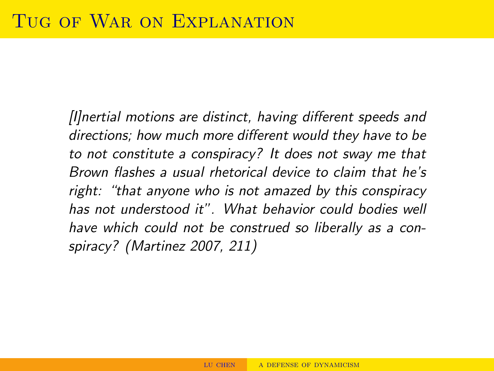[I]nertial motions are distinct, having different speeds and directions; how much more different would they have to be to not constitute a conspiracy? It does not sway me that Brown flashes a usual rhetorical device to claim that he's right: "that anyone who is not amazed by this conspiracy has not understood it". What behavior could bodies well have which could not be construed so liberally as a conspiracy? (Martinez 2007, 211)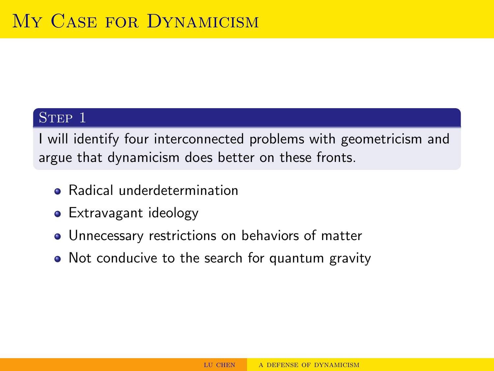### STEP 1

I will identify four interconnected problems with geometricism and argue that dynamicism does better on these fronts.

- **•** Radical underdetermination
- Extravagant ideology
- Unnecessary restrictions on behaviors of matter
- Not conducive to the search for quantum gravity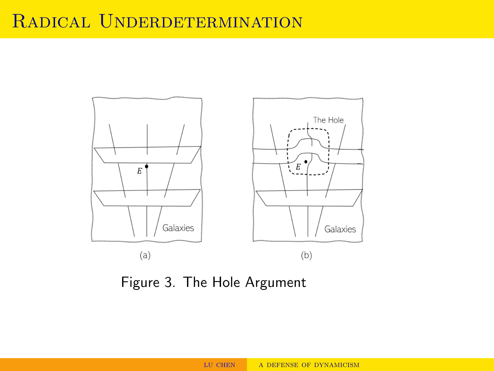# RADICAL UNDERDETERMINATION



Figure 3. The Hole Argument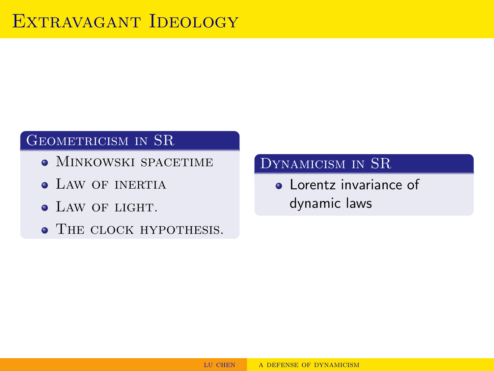# GEOMETRICISM IN SR

- MINKOWSKI SPACETIME
- **LAW OF INERTIA**
- LAW OF LIGHT.
- **THE CLOCK HYPOTHESIS.**

# Dynamicism in SR

**a** Lorentz invariance of dynamic laws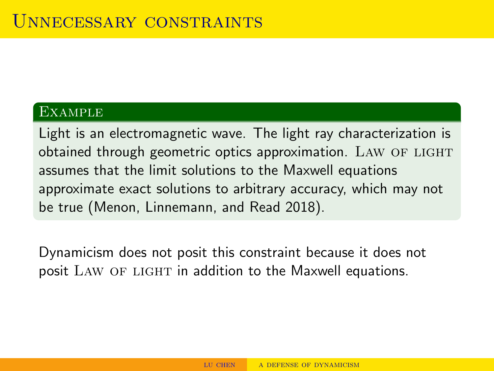#### **EXAMPLE**

Light is an electromagnetic wave. The light ray characterization is obtained through geometric optics approximation. LAW OF LIGHT assumes that the limit solutions to the Maxwell equations approximate exact solutions to arbitrary accuracy, which may not be true (Menon, Linnemann, and Read 2018).

Dynamicism does not posit this constraint because it does not posit LAW OF LIGHT in addition to the Maxwell equations.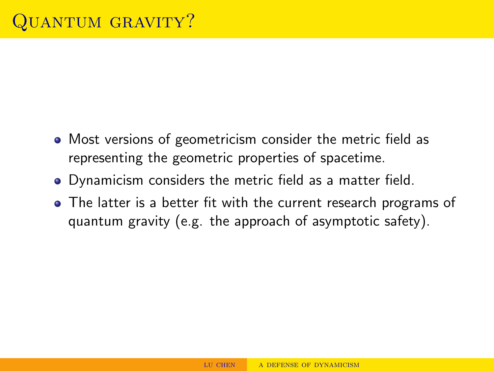- Most versions of geometricism consider the metric field as representing the geometric properties of spacetime.
- Dynamicism considers the metric field as a matter field.
- The latter is a better fit with the current research programs of quantum gravity (e.g. the approach of asymptotic safety).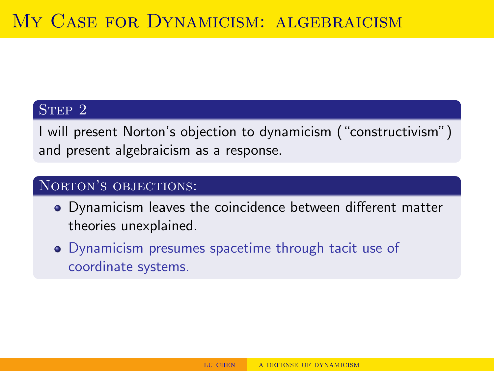## STEP 2

I will present Norton's objection to dynamicism ("constructivism") and present algebraicism as a response.

### NORTON'S OBJECTIONS:

- Dynamicism leaves the coincidence between different matter theories unexplained.
- Dynamicism presumes spacetime through tacit use of coordinate systems.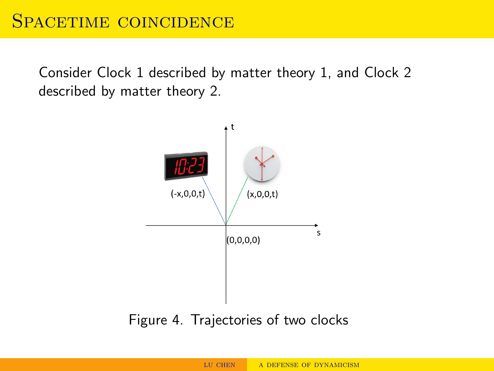Consider Clock 1 described by matter theory 1, and Clock 2 described by matter theory 2.



# Figure 4. Trajectories of two clocks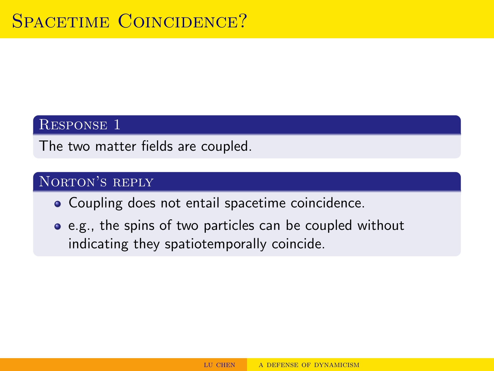### Response 1

The two matter fields are coupled.

## NORTON'S REPLY

- Coupling does not entail spacetime coincidence.
- e.g., the spins of two particles can be coupled without indicating they spatiotemporally coincide.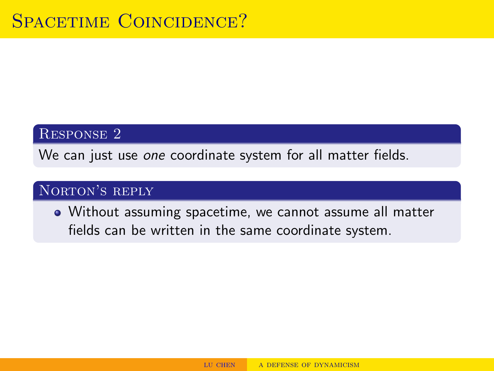#### Response 2

We can just use one coordinate system for all matter fields.

# NORTON'S REPLY

Without assuming spacetime, we cannot assume all matter fields can be written in the same coordinate system.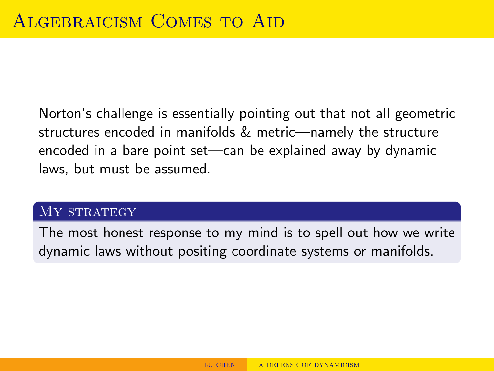Norton's challenge is essentially pointing out that not all geometric structures encoded in manifolds & metric—namely the structure encoded in a bare point set—can be explained away by dynamic laws, but must be assumed.

#### MY STRATEGY

The most honest response to my mind is to spell out how we write dynamic laws without positing coordinate systems or manifolds.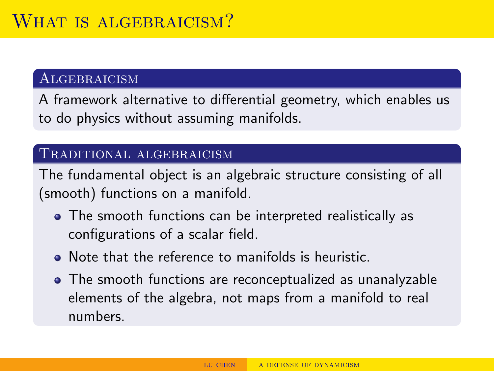## **ALGEBRAICISM**

A framework alternative to differential geometry, which enables us to do physics without assuming manifolds.

#### Traditional algebraicism

The fundamental object is an algebraic structure consisting of all (smooth) functions on a manifold.

- The smooth functions can be interpreted realistically as configurations of a scalar field.
- Note that the reference to manifolds is heuristic.
- The smooth functions are reconceptualized as unanalyzable elements of the algebra, not maps from a manifold to real numbers.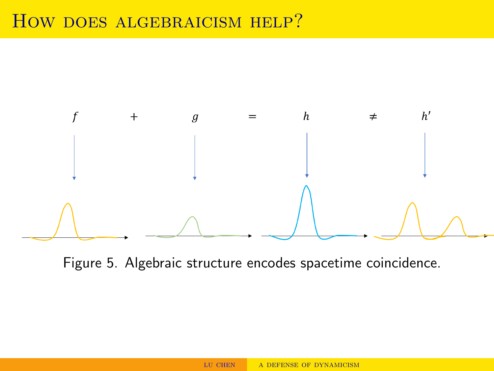# How does algebraicism help?



Figure 5. Algebraic structure encodes spacetime coincidence.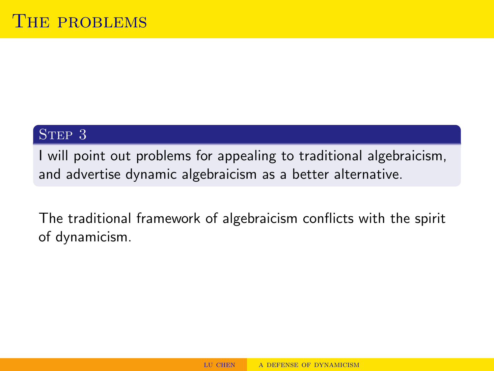#### STEP 3

I will point out problems for appealing to traditional algebraicism, and advertise dynamic algebraicism as a better alternative.

The traditional framework of algebraicism conflicts with the spirit of dynamicism.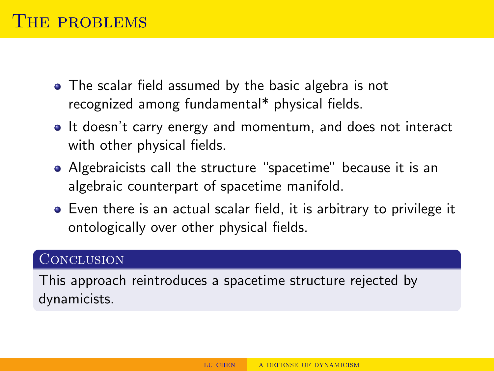- The scalar field assumed by the basic algebra is not recognized among fundamental\* physical fields.
- It doesn't carry energy and momentum, and does not interact with other physical fields.
- Algebraicists call the structure "spacetime" because it is an algebraic counterpart of spacetime manifold.
- Even there is an actual scalar field, it is arbitrary to privilege it ontologically over other physical fields.

#### **CONCLUSION**

This approach reintroduces a spacetime structure rejected by dynamicists.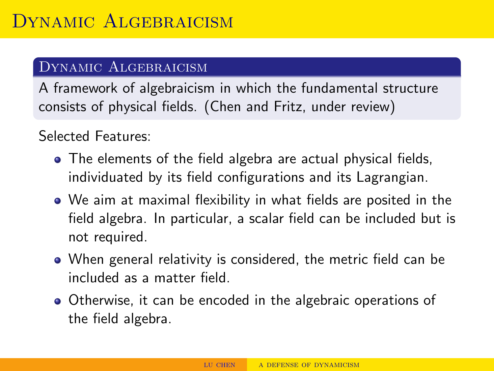## Dynamic Algebraicism

A framework of algebraicism in which the fundamental structure consists of physical fields. (Chen and Fritz, under review)

Selected Features:

- The elements of the field algebra are actual physical fields, individuated by its field configurations and its Lagrangian.
- We aim at maximal flexibility in what fields are posited in the field algebra. In particular, a scalar field can be included but is not required.
- When general relativity is considered, the metric field can be included as a matter field.
- Otherwise, it can be encoded in the algebraic operations of the field algebra.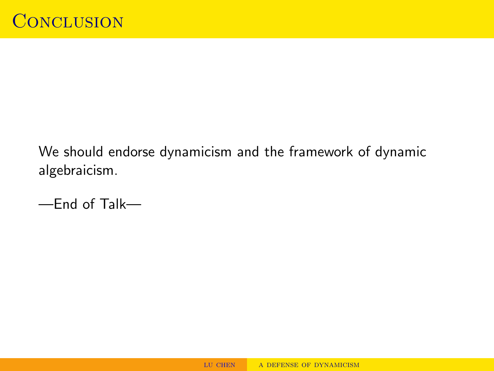We should endorse dynamicism and the framework of dynamic algebraicism.

—End of Talk—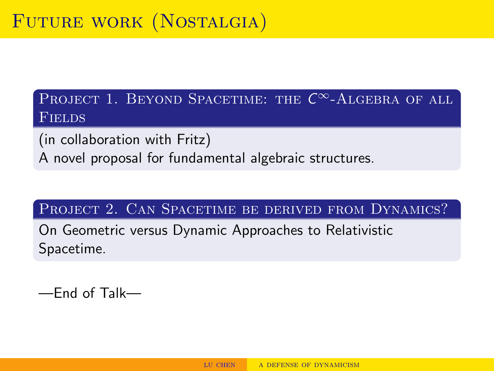PROJECT 1. BEYOND SPACETIME: THE  $\mathcal{C}^{\infty}$ -Algebra of all Fields

(in collaboration with Fritz) A novel proposal for fundamental algebraic structures.

PROJECT 2. CAN SPACETIME BE DERIVED FROM DYNAMICS?

On Geometric versus Dynamic Approaches to Relativistic Spacetime.

—End of Talk—